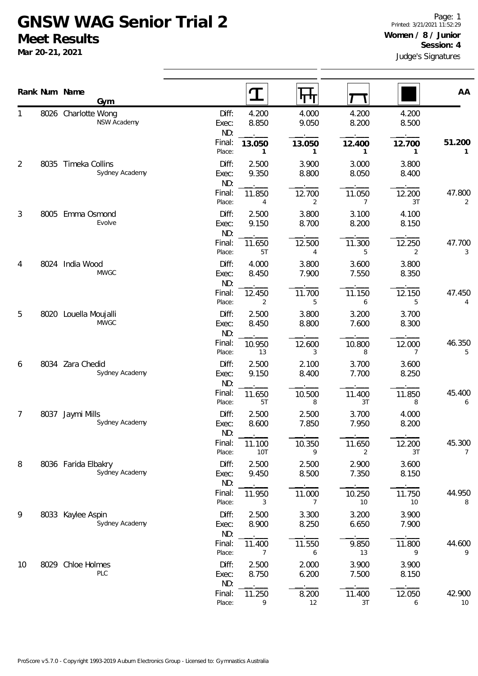## **GNSW WAG Senior Trial 2 Meet Results**

**Mar 20-21, 2021**

|    |      | Rank Num Name<br>Gym                  |                       | $\mathbf T$            | पाप                      |                          |                | AA           |
|----|------|---------------------------------------|-----------------------|------------------------|--------------------------|--------------------------|----------------|--------------|
| 1  |      | 8026 Charlotte Wong<br>NSW Academy    | Diff:<br>Exec:<br>ND: | 4.200<br>8.850         | 4.000<br>9.050           | 4.200<br>8.200           | 4.200<br>8.500 |              |
|    |      |                                       | Final:<br>Place:      | 13.050<br>$\mathbf{1}$ | 13.050<br>$\mathbf{1}$   | 12.400<br>$\mathbf{1}$   | 12.700<br>1    | 51.200<br>1  |
| 2  | 8035 | Timeka Collins<br>Sydney Academy      | Diff:<br>Exec:<br>ND: | 2.500<br>9.350         | 3.900<br>8.800           | 3.000<br>8.050           | 3.800<br>8.400 |              |
|    |      |                                       | Final:<br>Place:      | 11.850<br>4            | 12.700<br>2              | 11.050<br>$\overline{7}$ | 12.200<br>3T   | 47.800<br>2  |
| 3  | 8005 | Emma Osmond<br>Evolve                 | Diff:<br>Exec:<br>ND: | 2.500<br>9.150         | 3.800<br>8.700           | 3.100<br>8.200           | 4.100<br>8.150 |              |
|    |      |                                       | Final:<br>Place:      | 11.650<br>5T           | 12.500<br>$\overline{4}$ | 11.300<br>5              | 12.250<br>2    | 47.700<br>3  |
| 4  | 8024 | India Wood<br><b>MWGC</b>             | Diff:<br>Exec:<br>ND: | 4.000<br>8.450         | 3.800<br>7.900           | 3.600<br>7.550           | 3.800<br>8.350 |              |
|    |      |                                       | Final:<br>Place:      | 12.450<br>2            | 11.700<br>5              | 11.150<br>6              | 12.150<br>5    | 47.450<br>4  |
| 5  | 8020 | Louella Moujalli<br><b>MWGC</b>       | Diff:<br>Exec:<br>ND: | 2.500<br>8.450         | 3.800<br>8.800           | 3.200<br>7.600           | 3.700<br>8.300 |              |
|    |      |                                       | Final:<br>Place:      | 10.950<br>13           | 12.600<br>3              | 10.800<br>8              | 12.000<br>7    | 46.350<br>5  |
| 6  |      | 8034 Zara Chedid<br>Sydney Academy    | Diff:<br>Exec:<br>ND: | 2.500<br>9.150         | 2.100<br>8.400           | 3.700<br>7.700           | 3.600<br>8.250 |              |
|    |      |                                       | Final:<br>Place:      | 11.650<br>5T           | 10.500<br>8              | 11.400<br>3T             | 11.850<br>8    | 45.400<br>6  |
| 7  | 8037 | Jaymi Mills<br>Sydney Academy         | Diff:<br>Exec:<br>ND: | 2.500<br>8.600         | 2.500<br>7.850           | 3.700<br>7.950           | 4.000<br>8.200 |              |
|    |      |                                       | Final:<br>Place:      | 11.100<br>10T          | 10.350<br>9              | 11.650<br>2              | 12.200<br>3T   | 45.300<br>7  |
| 8  |      | 8036 Farida Elbakry<br>Sydney Academy | Diff:<br>Exec:<br>ND: | 2.500<br>9.450         | 2.500<br>8.500           | 2.900<br>7.350           | 3.600<br>8.150 |              |
|    |      |                                       | Final:<br>Place:      | 11.950<br>3            | 11.000<br>7              | 10.250<br>10             | 11.750<br>10   | 44.950<br>8  |
| 9  |      | 8033 Kaylee Aspin<br>Sydney Academy   | Diff:<br>Exec:<br>ND: | 2.500<br>8.900         | 3.300<br>8.250           | 3.200<br>6.650           | 3.900<br>7.900 |              |
|    |      |                                       | Final:<br>Place:      | 11.400<br>7            | 11.550<br>6              | 9.850<br>13              | 11.800<br>9    | 44.600<br>9  |
| 10 | 8029 | Chloe Holmes<br>PLC                   | Diff:<br>Exec:<br>ND: | 2.500<br>8.750         | 2.000<br>6.200           | 3.900<br>7.500           | 3.900<br>8.150 |              |
|    |      |                                       | Final:<br>Place:      | 11.250<br>9            | 8.200<br>12              | 11.400<br>3T             | 12.050<br>6    | 42.900<br>10 |